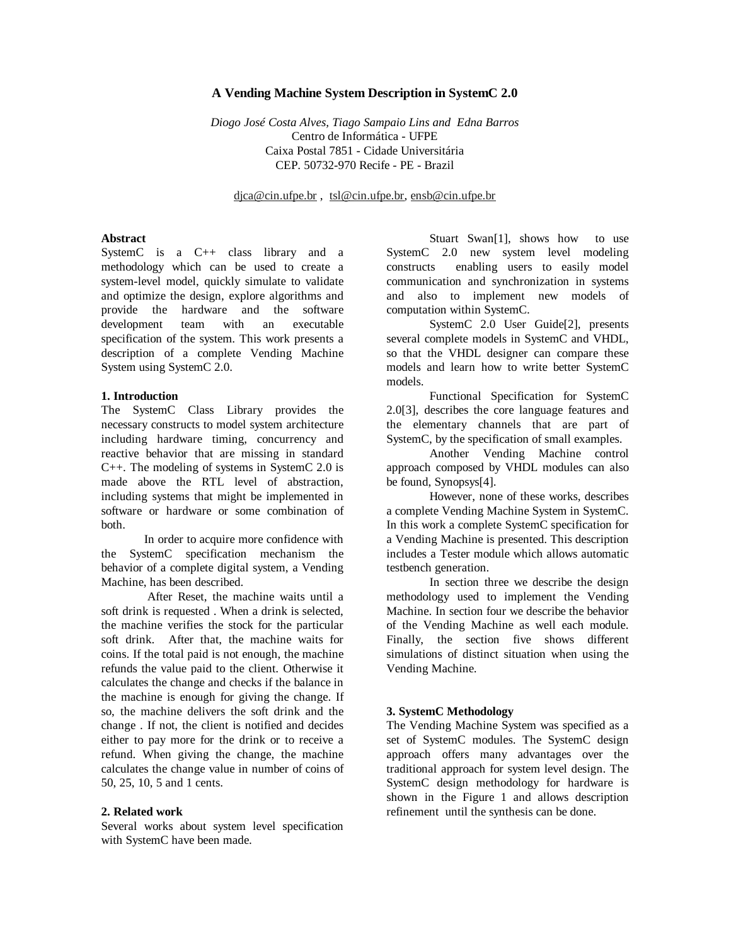## **A Vending Machine System Description in SystemC 2.0**

*Diogo José Costa Alves, Tiago Sampaio Lins and Edna Barros* Centro de Informática - UFPE Caixa Postal 7851 - Cidade Universitária CEP. 50732-970 Recife - PE - Brazil

djca@cin.ufpe.br , tsl@cin.ufpe.br, ensb@cin.ufpe.br

## **Abstract**

SystemC is a C++ class library and a methodology which can be used to create a system-level model, quickly simulate to validate and optimize the design, explore algorithms and provide the hardware and the software development team with an executable specification of the system. This work presents a description of a complete Vending Machine System using SystemC 2.0.

### **1. Introduction**

The SystemC Class Library provides the necessary constructs to model system architecture including hardware timing, concurrency and reactive behavior that are missing in standard C++. The modeling of systems in SystemC 2.0 is made above the RTL level of abstraction, including systems that might be implemented in software or hardware or some combination of both.

In order to acquire more confidence with the SystemC specification mechanism the behavior of a complete digital system, a Vending Machine, has been described.

After Reset, the machine waits until a soft drink is requested . When a drink is selected, the machine verifies the stock for the particular soft drink. After that, the machine waits for coins. If the total paid is not enough, the machine refunds the value paid to the client. Otherwise it calculates the change and checks if the balance in the machine is enough for giving the change. If so, the machine delivers the soft drink and the change . If not, the client is notified and decides either to pay more for the drink or to receive a refund. When giving the change, the machine calculates the change value in number of coins of 50, 25, 10, 5 and 1 cents.

#### **2. Related work**

Several works about system level specification with SystemC have been made.

Stuart Swan[1], shows how to use SystemC 2.0 new system level modeling constructs enabling users to easily model communication and synchronization in systems and also to implement new models of computation within SystemC.

SystemC 2.0 User Guide[2], presents several complete models in SystemC and VHDL, so that the VHDL designer can compare these models and learn how to write better SystemC models.

Functional Specification for SystemC 2.0[3], describes the core language features and the elementary channels that are part of SystemC, by the specification of small examples.

Another Vending Machine control approach composed by VHDL modules can also be found, Synopsys[4].

However, none of these works, describes a complete Vending Machine System in SystemC. In this work a complete SystemC specification for a Vending Machine is presented. This description includes a Tester module which allows automatic testbench generation.

In section three we describe the design methodology used to implement the Vending Machine. In section four we describe the behavior of the Vending Machine as well each module. Finally, the section five shows different simulations of distinct situation when using the Vending Machine.

### **3. SystemC Methodology**

The Vending Machine System was specified as a set of SystemC modules. The SystemC design approach offers many advantages over the traditional approach for system level design. The SystemC design methodology for hardware is shown in the Figure 1 and allows description refinement until the synthesis can be done.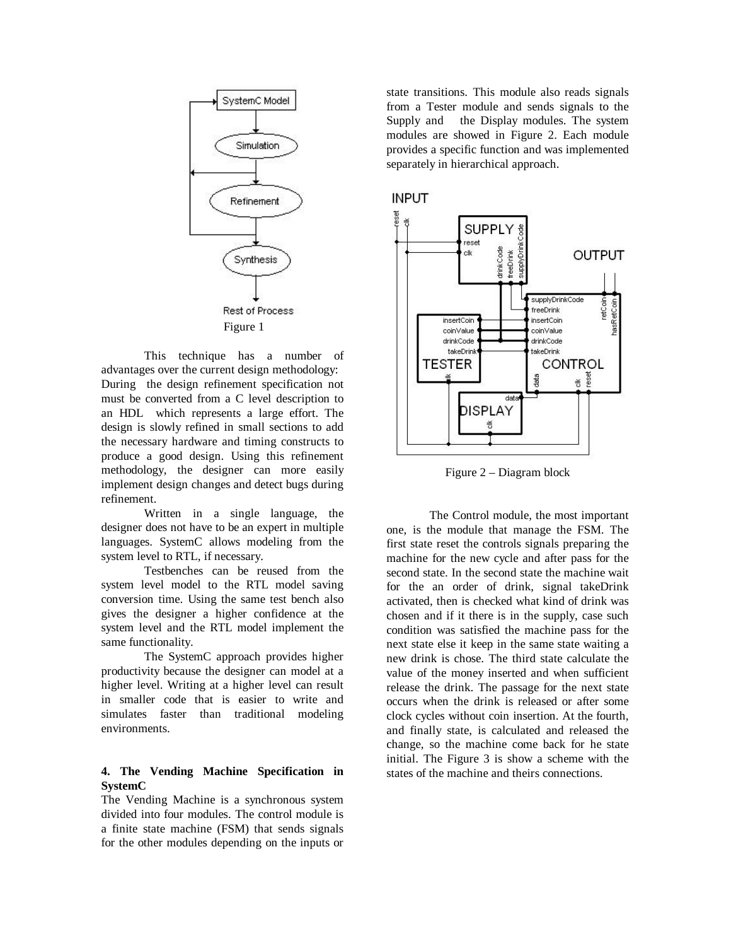

This technique has a number of advantages over the current design methodology: During the design refinement specification not must be converted from a C level description to an HDL which represents a large effort. The design is slowly refined in small sections to add the necessary hardware and timing constructs to produce a good design. Using this refinement methodology, the designer can more easily implement design changes and detect bugs during refinement.

Written in a single language, the designer does not have to be an expert in multiple languages. SystemC allows modeling from the system level to RTL, if necessary.

Testbenches can be reused from the system level model to the RTL model saving conversion time. Using the same test bench also gives the designer a higher confidence at the system level and the RTL model implement the same functionality.

The SystemC approach provides higher productivity because the designer can model at a higher level. Writing at a higher level can result in smaller code that is easier to write and simulates faster than traditional modeling environments.

# **4. The Vending Machine Specification in SystemC**

The Vending Machine is a synchronous system divided into four modules. The control module is a finite state machine (FSM) that sends signals for the other modules depending on the inputs or

state transitions. This module also reads signals from a Tester module and sends signals to the Supply and the Display modules. The system modules are showed in Figure 2. Each module provides a specific function and was implemented separately in hierarchical approach.





Figure 2 – Diagram block

The Control module, the most important one, is the module that manage the FSM. The first state reset the controls signals preparing the machine for the new cycle and after pass for the second state. In the second state the machine wait for the an order of drink, signal takeDrink activated, then is checked what kind of drink was chosen and if it there is in the supply, case such condition was satisfied the machine pass for the next state else it keep in the same state waiting a new drink is chose. The third state calculate the value of the money inserted and when sufficient release the drink. The passage for the next state occurs when the drink is released or after some clock cycles without coin insertion. At the fourth, and finally state, is calculated and released the change, so the machine come back for he state initial. The Figure 3 is show a scheme with the states of the machine and theirs connections.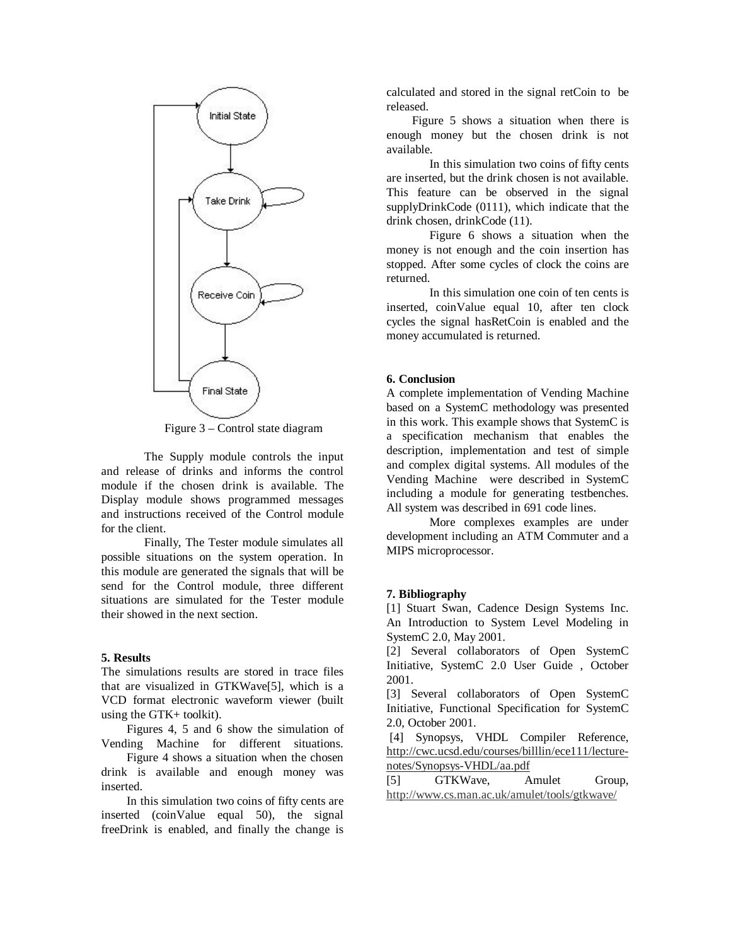

Figure 3 – Control state diagram

The Supply module controls the input and release of drinks and informs the control module if the chosen drink is available. The Display module shows programmed messages and instructions received of the Control module for the client.

Finally, The Tester module simulates all possible situations on the system operation. In this module are generated the signals that will be send for the Control module, three different situations are simulated for the Tester module their showed in the next section.

### **5. Results**

The simulations results are stored in trace files that are visualized in GTKWave[5], which is a VCD format electronic waveform viewer (built using the GTK+ toolkit).

Figures 4, 5 and 6 show the simulation of Vending Machine for different situations.

Figure 4 shows a situation when the chosen drink is available and enough money was inserted.

In this simulation two coins of fifty cents are inserted (coinValue equal 50), the signal freeDrink is enabled, and finally the change is

calculated and stored in the signal retCoin to be released.

Figure 5 shows a situation when there is enough money but the chosen drink is not available.

In this simulation two coins of fifty cents are inserted, but the drink chosen is not available. This feature can be observed in the signal supplyDrinkCode (0111), which indicate that the drink chosen, drinkCode (11).

Figure 6 shows a situation when the money is not enough and the coin insertion has stopped. After some cycles of clock the coins are returned.

In this simulation one coin of ten cents is inserted, coinValue equal 10, after ten clock cycles the signal hasRetCoin is enabled and the money accumulated is returned.

#### **6. Conclusion**

A complete implementation of Vending Machine based on a SystemC methodology was presented in this work. This example shows that SystemC is a specification mechanism that enables the description, implementation and test of simple and complex digital systems. All modules of the Vending Machine were described in SystemC including a module for generating testbenches. All system was described in 691 code lines.

More complexes examples are under development including an ATM Commuter and a MIPS microprocessor.

### **7. Bibliography**

[1] Stuart Swan, Cadence Design Systems Inc. An Introduction to System Level Modeling in SystemC 2.0, May 2001.

[2] Several collaborators of Open SystemC Initiative, SystemC 2.0 User Guide , October 2001.

[3] Several collaborators of Open SystemC Initiative, Functional Specification for SystemC 2.0, October 2001.

[4] Synopsys, VHDL Compiler Reference, http://cwc.ucsd.edu/courses/billlin/ece111/lecturenotes/Synopsys-VHDL/aa.pdf

[5] GTKWave, Amulet Group, http://www.cs.man.ac.uk/amulet/tools/gtkwave/